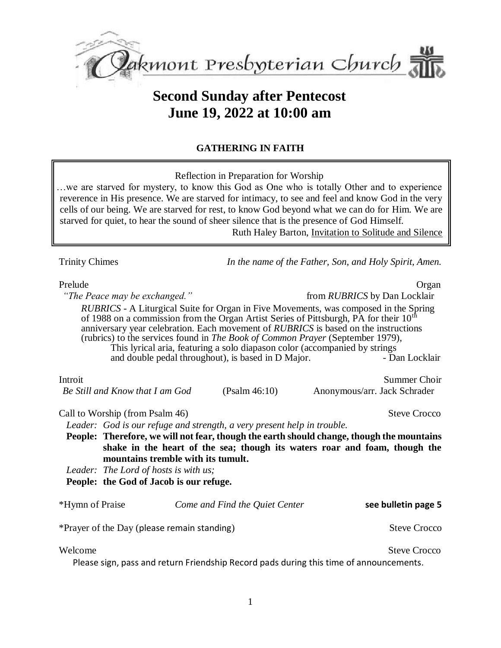

# **Second Sunday after Pentecost June 19, 2022 at 10:00 am**

### **GATHERING IN FAITH**

Reflection in Preparation for Worship

…we are starved for mystery, to know this God as One who is totally Other and to experience reverence in His presence. We are starved for intimacy, to see and feel and know God in the very cells of our being. We are starved for rest, to know God beyond what we can do for Him. We are starved for quiet, to hear the sound of sheer silence that is the presence of God Himself. Ruth Haley Barton, Invitation to Solitude and Silence

| Trinity Chimes |
|----------------|
|                |

Trinity Chimes *In the name of the Father, Son, and Holy Spirit, Amen.*

| Prelude                                                                 |                                                                                                                                                                                                                                               | Organ                                                                                                                                                                                                                                                                                                                                                                                                                                                                            |
|-------------------------------------------------------------------------|-----------------------------------------------------------------------------------------------------------------------------------------------------------------------------------------------------------------------------------------------|----------------------------------------------------------------------------------------------------------------------------------------------------------------------------------------------------------------------------------------------------------------------------------------------------------------------------------------------------------------------------------------------------------------------------------------------------------------------------------|
| "The Peace may be exchanged."                                           |                                                                                                                                                                                                                                               | from <i>RUBRICS</i> by Dan Locklair                                                                                                                                                                                                                                                                                                                                                                                                                                              |
|                                                                         | and double pedal throughout), is based in D Major.                                                                                                                                                                                            | <i>RUBRICS</i> - A Liturgical Suite for Organ in Five Movements, was composed in the Spring<br>of 1988 on a commission from the Organ Artist Series of Pittsburgh, PA for their 10 <sup>th</sup><br>anniversary year celebration. Each movement of RUBRICS is based on the instructions<br>(rubrics) to the services found in <i>The Book of Common Prayer</i> (September 1979),<br>This lyrical aria, featuring a solo diapason color (accompanied by strings<br>- Dan Locklair |
| Introit                                                                 |                                                                                                                                                                                                                                               | Summer Choir                                                                                                                                                                                                                                                                                                                                                                                                                                                                     |
| Be Still and Know that I am God                                         | (Psalm 46:10)                                                                                                                                                                                                                                 | Anonymous/arr. Jack Schrader                                                                                                                                                                                                                                                                                                                                                                                                                                                     |
| Call to Worship (from Psalm 46)                                         |                                                                                                                                                                                                                                               | <b>Steve Crocco</b>                                                                                                                                                                                                                                                                                                                                                                                                                                                              |
| Leader: God is our refuge and strength, a very present help in trouble. |                                                                                                                                                                                                                                               |                                                                                                                                                                                                                                                                                                                                                                                                                                                                                  |
|                                                                         |                                                                                                                                                                                                                                               | People: Therefore, we will not fear, though the earth should change, though the mountains                                                                                                                                                                                                                                                                                                                                                                                        |
|                                                                         | mountains tremble with its tumult.                                                                                                                                                                                                            | shake in the heart of the sea; though its waters roar and foam, though the                                                                                                                                                                                                                                                                                                                                                                                                       |
| Leader: The Lord of hosts is with us;                                   |                                                                                                                                                                                                                                               |                                                                                                                                                                                                                                                                                                                                                                                                                                                                                  |
| People: the God of Jacob is our refuge.                                 |                                                                                                                                                                                                                                               |                                                                                                                                                                                                                                                                                                                                                                                                                                                                                  |
|                                                                         |                                                                                                                                                                                                                                               |                                                                                                                                                                                                                                                                                                                                                                                                                                                                                  |
| *Hymn of Praise                                                         | Come and Find the Quiet Center                                                                                                                                                                                                                | see bulletin page 5                                                                                                                                                                                                                                                                                                                                                                                                                                                              |
| *Prayer of the Day (please remain standing)                             |                                                                                                                                                                                                                                               | <b>Steve Crocco</b>                                                                                                                                                                                                                                                                                                                                                                                                                                                              |
| Welcome                                                                 | $\blacksquare$ . The contract of the contract of $\blacksquare$ . The contract of the contract of the contract of the contract of the contract of the contract of the contract of the contract of the contract of the contract of the contrac | <b>Steve Crocco</b>                                                                                                                                                                                                                                                                                                                                                                                                                                                              |

Please sign, pass and return Friendship Record pads during this time of announcements.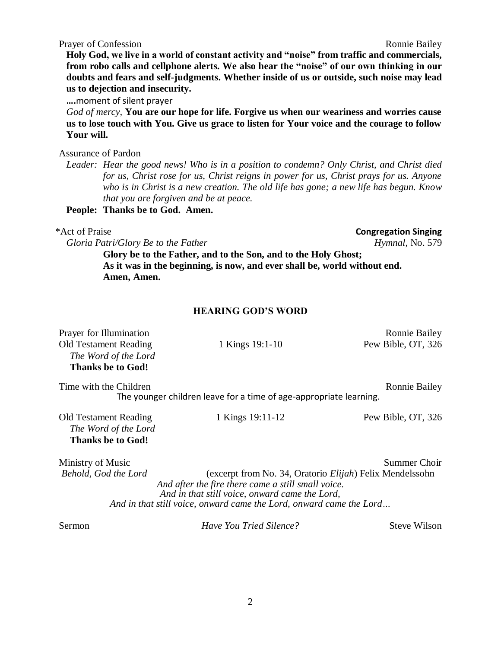Prayer of Confession **Ronnie Bailey** Ronnie Bailey

**Holy God, we live in a world of constant activity and "noise" from traffic and commercials, from robo calls and cellphone alerts. We also hear the "noise" of our own thinking in our doubts and fears and self-judgments. Whether inside of us or outside, such noise may lead us to dejection and insecurity.**

**….**moment of silent prayer

*God of mercy,* **You are our hope for life. Forgive us when our weariness and worries cause us to lose touch with You. Give us grace to listen for Your voice and the courage to follow Your will.** 

Assurance of Pardon

*Leader: Hear the good news! Who is in a position to condemn? Only Christ, and Christ died for us, Christ rose for us, Christ reigns in power for us, Christ prays for us. Anyone who is in Christ is a new creation. The old life has gone; a new life has begun. Know that you are forgiven and be at peace.*

**People: Thanks be to God. Amen.**

*Gloria Patri/Glory Be to the Father Hymnal*, No. 579

**Glory be to the Father, and to the Son, and to the Holy Ghost; As it was in the beginning, is now, and ever shall be, world without end. Amen, Amen.**

#### **HEARING GOD'S WORD**

| Prayer for Illumination<br><b>Old Testament Reading</b><br>The Word of the Lord<br><b>Thanks be to God!</b> | 1 Kings 19:1-10                                                                                                                                                                                                                                 | <b>Ronnie Bailey</b><br>Pew Bible, OT, 326 |
|-------------------------------------------------------------------------------------------------------------|-------------------------------------------------------------------------------------------------------------------------------------------------------------------------------------------------------------------------------------------------|--------------------------------------------|
| Time with the Children                                                                                      | The younger children leave for a time of age-appropriate learning.                                                                                                                                                                              | <b>Ronnie Bailey</b>                       |
| <b>Old Testament Reading</b><br>The Word of the Lord<br><b>Thanks be to God!</b>                            | 1 Kings 19:11-12                                                                                                                                                                                                                                | Pew Bible, OT, 326                         |
| Ministry of Music<br>Behold, God the Lord                                                                   | (excerpt from No. 34, Oratorio <i>Elijah</i> ) Felix Mendelssohn<br>And after the fire there came a still small voice.<br>And in that still voice, onward came the Lord,<br>And in that still voice, onward came the Lord, onward came the Lord | Summer Choir                               |
| Sermon                                                                                                      | Have You Tried Silence?                                                                                                                                                                                                                         | <b>Steve Wilson</b>                        |

\*Act of Praise **Congregation Singing**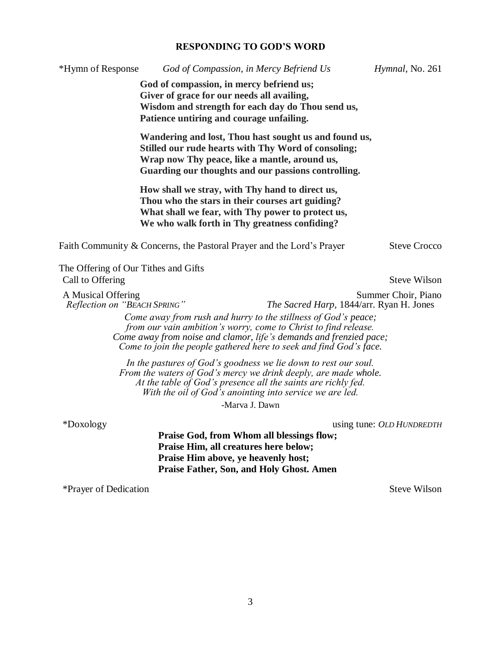## **RESPONDING TO GOD'S WORD**

| *Hymn of Response                                  | God of Compassion, in Mercy Befriend Us                                                                                                                                                                                                                                                                                   | Hymnal, No. 261           |
|----------------------------------------------------|---------------------------------------------------------------------------------------------------------------------------------------------------------------------------------------------------------------------------------------------------------------------------------------------------------------------------|---------------------------|
|                                                    | God of compassion, in mercy befriend us;<br>Giver of grace for our needs all availing,<br>Wisdom and strength for each day do Thou send us,<br>Patience untiring and courage unfailing.                                                                                                                                   |                           |
|                                                    | Wandering and lost, Thou hast sought us and found us,<br>Stilled our rude hearts with Thy Word of consoling;<br>Wrap now Thy peace, like a mantle, around us,<br>Guarding our thoughts and our passions controlling.                                                                                                      |                           |
|                                                    | How shall we stray, with Thy hand to direct us,<br>Thou who the stars in their courses art guiding?<br>What shall we fear, with Thy power to protect us,<br>We who walk forth in Thy greatness confiding?                                                                                                                 |                           |
|                                                    | Faith Community & Concerns, the Pastoral Prayer and the Lord's Prayer                                                                                                                                                                                                                                                     | <b>Steve Crocco</b>       |
| The Offering of Our Tithes and Gifts               |                                                                                                                                                                                                                                                                                                                           |                           |
| Call to Offering                                   |                                                                                                                                                                                                                                                                                                                           | <b>Steve Wilson</b>       |
| A Musical Offering<br>Reflection on "BEACH SPRING" | The Sacred Harp, 1844/arr. Ryan H. Jones<br>Come away from rush and hurry to the stillness of God's peace;<br>from our vain ambition's worry, come to Christ to find release.<br>Come away from noise and clamor, life's demands and frenzied pace;<br>Come to join the people gathered here to seek and find God's face. | Summer Choir, Piano       |
|                                                    | In the pastures of God's goodness we lie down to rest our soul.<br>From the waters of God's mercy we drink deeply, are made whole.<br>At the table of God's presence all the saints are richly fed.<br>With the oil of God's anointing into service we are led.<br>-Marva J. Dawn                                         |                           |
| *Doxology                                          |                                                                                                                                                                                                                                                                                                                           | using tune: OLD HUNDREDTH |
|                                                    | Praise God, from Whom all blessings flow;<br>Praise Him, all creatures here below;<br>Praise Him above, ye heavenly host;<br>Praise Father, Son, and Holy Ghost. Amen                                                                                                                                                     |                           |
| *Prayer of Dedication                              |                                                                                                                                                                                                                                                                                                                           | <b>Steve Wilson</b>       |
|                                                    |                                                                                                                                                                                                                                                                                                                           |                           |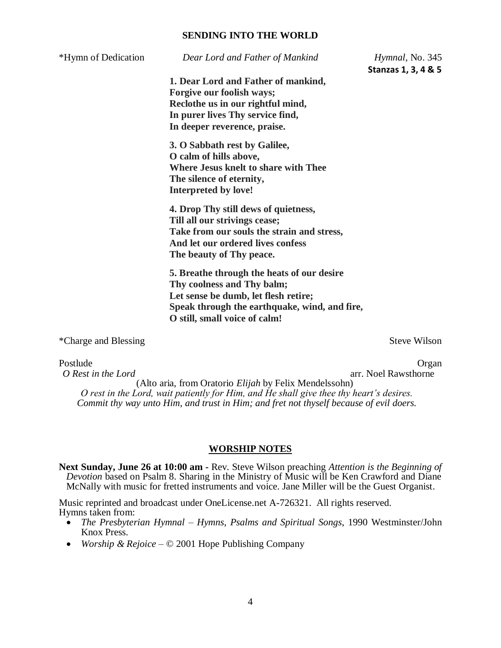#### **SENDING INTO THE WORLD**

| Dear Lord and Father of Mankind     | Hymnal, No. 345                                                                                                                                                                                                                                                                                                                                                                                                                                                                                                               |
|-------------------------------------|-------------------------------------------------------------------------------------------------------------------------------------------------------------------------------------------------------------------------------------------------------------------------------------------------------------------------------------------------------------------------------------------------------------------------------------------------------------------------------------------------------------------------------|
|                                     | Stanzas 1, 3, 4 & 5                                                                                                                                                                                                                                                                                                                                                                                                                                                                                                           |
| 1. Dear Lord and Father of mankind, |                                                                                                                                                                                                                                                                                                                                                                                                                                                                                                                               |
|                                     |                                                                                                                                                                                                                                                                                                                                                                                                                                                                                                                               |
|                                     |                                                                                                                                                                                                                                                                                                                                                                                                                                                                                                                               |
| In deeper reverence, praise.        |                                                                                                                                                                                                                                                                                                                                                                                                                                                                                                                               |
|                                     |                                                                                                                                                                                                                                                                                                                                                                                                                                                                                                                               |
|                                     |                                                                                                                                                                                                                                                                                                                                                                                                                                                                                                                               |
|                                     |                                                                                                                                                                                                                                                                                                                                                                                                                                                                                                                               |
|                                     |                                                                                                                                                                                                                                                                                                                                                                                                                                                                                                                               |
| Interpreted by love!                |                                                                                                                                                                                                                                                                                                                                                                                                                                                                                                                               |
|                                     |                                                                                                                                                                                                                                                                                                                                                                                                                                                                                                                               |
|                                     |                                                                                                                                                                                                                                                                                                                                                                                                                                                                                                                               |
|                                     |                                                                                                                                                                                                                                                                                                                                                                                                                                                                                                                               |
| And let our ordered lives confess   |                                                                                                                                                                                                                                                                                                                                                                                                                                                                                                                               |
| The beauty of Thy peace.            |                                                                                                                                                                                                                                                                                                                                                                                                                                                                                                                               |
|                                     |                                                                                                                                                                                                                                                                                                                                                                                                                                                                                                                               |
|                                     |                                                                                                                                                                                                                                                                                                                                                                                                                                                                                                                               |
|                                     |                                                                                                                                                                                                                                                                                                                                                                                                                                                                                                                               |
|                                     |                                                                                                                                                                                                                                                                                                                                                                                                                                                                                                                               |
| O still, small voice of calm!       |                                                                                                                                                                                                                                                                                                                                                                                                                                                                                                                               |
|                                     | Steve Wilson                                                                                                                                                                                                                                                                                                                                                                                                                                                                                                                  |
|                                     | Forgive our foolish ways;<br>Reclothe us in our rightful mind,<br>In purer lives Thy service find,<br>3. O Sabbath rest by Galilee,<br>O calm of hills above,<br>Where Jesus knelt to share with Thee<br>The silence of eternity,<br>4. Drop Thy still dews of quietness,<br>Till all our strivings cease;<br>Take from our souls the strain and stress,<br>5. Breathe through the heats of our desire<br>Thy coolness and Thy balm;<br>Let sense be dumb, let flesh retire;<br>Speak through the earthquake, wind, and fire, |

Postlude **Organ** 

*O Rest in the Lord* **arr.** Noel Rawsthorne (Alto aria, from Oratorio *Elijah* by Felix Mendelssohn) *O rest in the Lord, wait patiently for Him, and He shall give thee thy heart's desires. Commit thy way unto Him, and trust in Him; and fret not thyself because of evil doers.*

#### **WORSHIP NOTES**

**Next Sunday, June 26 at 10:00 am -** Rev. Steve Wilson preaching *Attention is the Beginning of Devotion* based on Psalm 8. Sharing in the Ministry of Music will be Ken Crawford and Diane McNally with music for fretted instruments and voice. Jane Miller will be the Guest Organist.

Music reprinted and broadcast under OneLicense.net A-726321. All rights reserved. Hymns taken from:

- *The Presbyterian Hymnal Hymns, Psalms and Spiritual Songs*, 1990 Westminster/John Knox Press.
- *Worship & Rejoice*  © 2001 Hope Publishing Company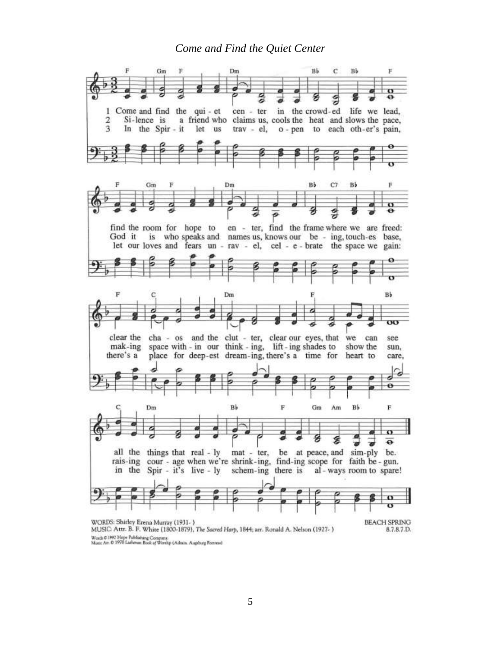### *Come and Find the Quiet Center*



Words © 1992 Hope Publishing Company.<br>Music Art. © 1978 Latheran Book of Worship (Admin. Augsburg Forerest)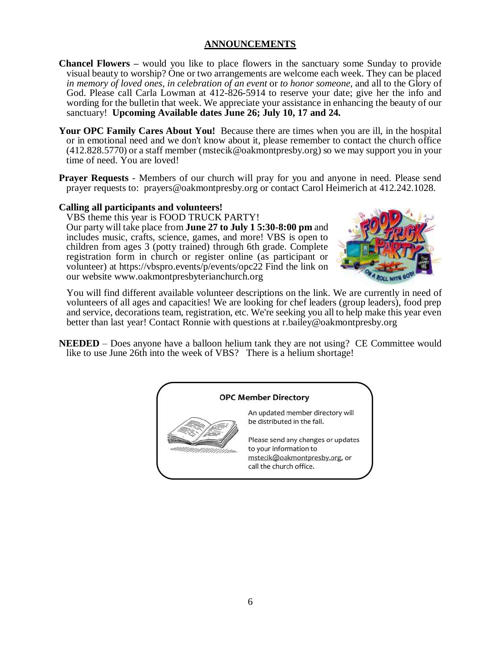### **ANNOUNCEMENTS**

- **Chancel Flowers –** would you like to place flowers in the sanctuary some Sunday to provide visual beauty to worship? One or two arrangements are welcome each week. They can be placed *in memory of loved ones*, *in celebration of an event* or *to honor someone*, and all to the Glory of God. Please call Carla Lowman at 412-826-5914 to reserve your date; give her the info and wording for the bulletin that week. We appreciate your assistance in enhancing the beauty of our sanctuary! **Upcoming Available dates June 26; July 10, 17 and 24.**
- Your OPC Family Cares About You! Because there are times when you are ill, in the hospital or in emotional need and we don't know about it, please remember to contact the church office (412.828.5770) or a staff member [\(mstecik@oakmontpresby.org\)](mailto:mstecik@oakmontpresby.org) so we may support you in your time of need. You are loved!
- **Prayer Requests** Members of our church will pray for you and anyone in need. Please send prayer requests to: [prayers@oakmontpresby.org](mailto:prayers@oakmontpresby.org) or contact Carol Heimerich at 412.242.1028.

#### **Calling all participants and volunteers!**

VBS theme this year is FOOD TRUCK PARTY! Our party will take place from **June 27 to July 1 5:30-8:00 pm** and includes music, crafts, science, games, and more! VBS is open to children from ages 3 (potty trained) through 6th grade. Complete registration form in church or register online (as participant or volunteer) at<https://vbspro.events/p/events/opc22> Find the link on our website [www.oakmontpresbyterianchurch.org](http://www.oakmontpresbyterianchurch.org/)



You will find different available volunteer descriptions on the link. We are currently in need of volunteers of all ages and capacities! We are looking for chef leaders (group leaders), food prep and service, decorations team, registration, etc. We're seeking you all to help make this year even better than last year! Contact Ronnie with questions at [r.bailey@oakmontpresby.org](mailto:r.bailey@oakmontpresby.org)

**NEEDED** – Does anyone have a balloon helium tank they are not using? CE Committee would like to use June 26th into the week of VBS? There is a helium shortage!